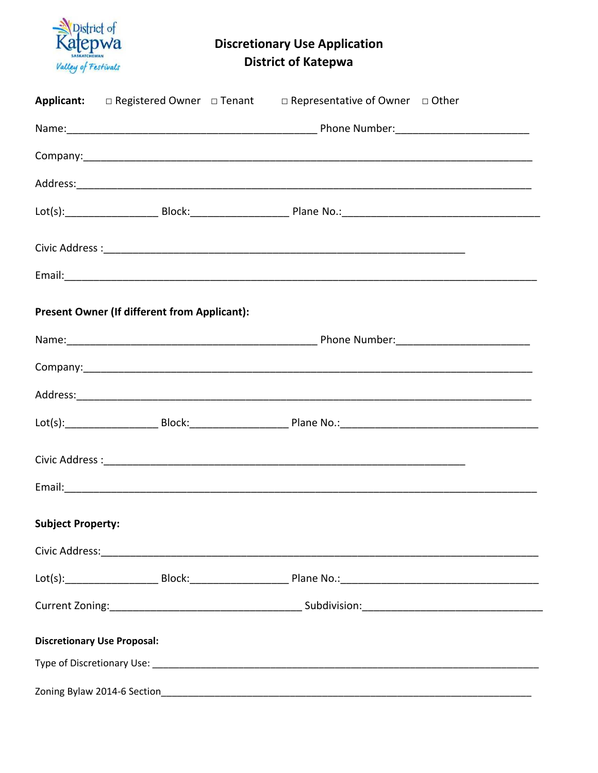

**Discretionary Use Application District of Katepwa** 

**Applicant:**  $\Box$  Registered Owner  $\Box$  Tenant  $\Box$  Representative of Owner  $\Box$  Other Name: Name: Name: Name: Name: Name: Name: Name: Name: Name: Name: Name: Name: Name: Name: Name: Name: Name: Name: Name: Name: Name: Name: Name: Name: Name: Name: Name: Name: Name: Name: Name: Name: Name: Name: Name: Name: Company: the company of the company of the company of the company of the company of the company of the company Address: Analysis and the state of the state of the state of the state of the state of the state of the state of the state of the state of the state of the state of the state of the state of the state of the state of the s Email: Email: All and the second contract of the second contract of the second contract of the second contract of the second contract of the second contract of the second contract of the second contract of the second contr **Present Owner (If different from Applicant):** Name: Name: Name: Name: Name: Name: Name: Name: Name: Name: Name: Name: Name: Name: Name: Name: Name: Name: Name: Name: Name: Name: Name: Name: Name: Name: Name: Name: Name: Name: Name: Name: Name: Name: Name: Name: Name: Civic Address : Electric Address : Electric Address : Electric Address : Electric Address : Electric Address : **Subject Property:** Civic Address: Engine Contract Contract Contract Contract Contract Contract Contract Contract Contract Contract Contract Contract Contract Contract Contract Contract Contract Contract Contract Contract Contract Contract Co Lot(s): Block: Block: Plane No.: Current Zoning: Current Zoning: Subdivision: **Discretionary Use Proposal:**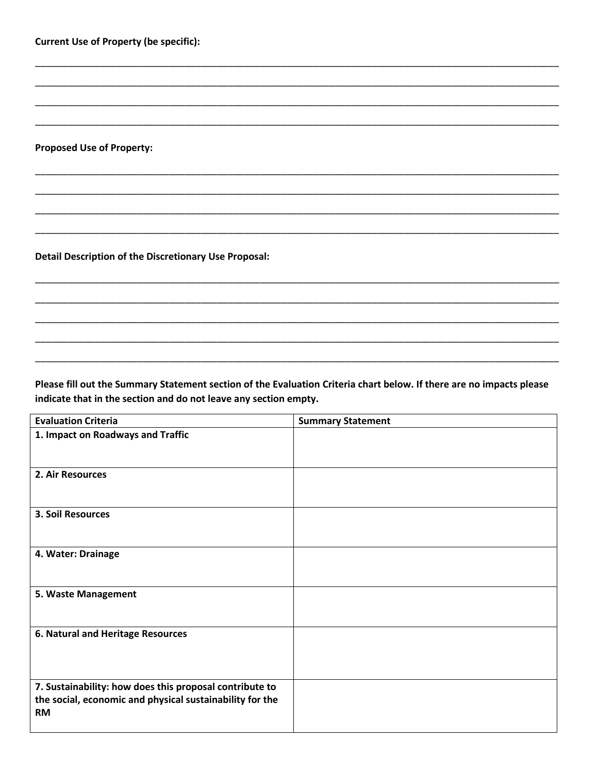**Current Use of Property (be specific):** 

**Proposed Use of Property:** 

Detail Description of the Discretionary Use Proposal:

Please fill out the Summary Statement section of the Evaluation Criteria chart below. If there are no impacts please indicate that in the section and do not leave any section empty.

| <b>Evaluation Criteria</b>                               | <b>Summary Statement</b> |
|----------------------------------------------------------|--------------------------|
| 1. Impact on Roadways and Traffic                        |                          |
|                                                          |                          |
| 2. Air Resources                                         |                          |
|                                                          |                          |
| <b>3. Soil Resources</b>                                 |                          |
|                                                          |                          |
| 4. Water: Drainage                                       |                          |
|                                                          |                          |
| 5. Waste Management                                      |                          |
|                                                          |                          |
| 6. Natural and Heritage Resources                        |                          |
|                                                          |                          |
|                                                          |                          |
| 7. Sustainability: how does this proposal contribute to  |                          |
| the social, economic and physical sustainability for the |                          |
| <b>RM</b>                                                |                          |